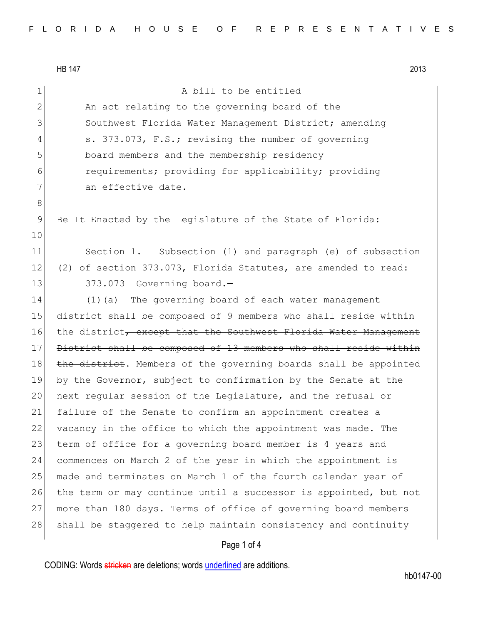HB 147 2013

1 A bill to be entitled 2 An act relating to the governing board of the 3 Southwest Florida Water Management District; amending 4 s. 373.073, F.S.; revising the number of governing 5 board members and the membership residency 6 requirements; providing for applicability; providing 7 an effective date. 8 9 Be It Enacted by the Legislature of the State of Florida: 10 11 Section 1. Subsection (1) and paragraph (e) of subsection 12 (2) of section 373.073, Florida Statutes, are amended to read:  $13$  373.073 Governing board. 14 (1) (a) The governing board of each water management 15 district shall be composed of 9 members who shall reside within 16 the district, except that the Southwest Florida Water Management 17 District shall be composed of 13 members who shall reside within 18 the district. Members of the governing boards shall be appointed 19 by the Governor, subject to confirmation by the Senate at the 20 next regular session of the Legislature, and the refusal or 21 failure of the Senate to confirm an appointment creates a 22 vacancy in the office to which the appointment was made. The 23 term of office for a governing board member is 4 years and 24 commences on March 2 of the year in which the appointment is 25 made and terminates on March 1 of the fourth calendar year of 26 the term or may continue until a successor is appointed, but not 27 more than 180 days. Terms of office of governing board members 28 shall be staggered to help maintain consistency and continuity

### Page 1 of 4

CODING: Words stricken are deletions; words underlined are additions.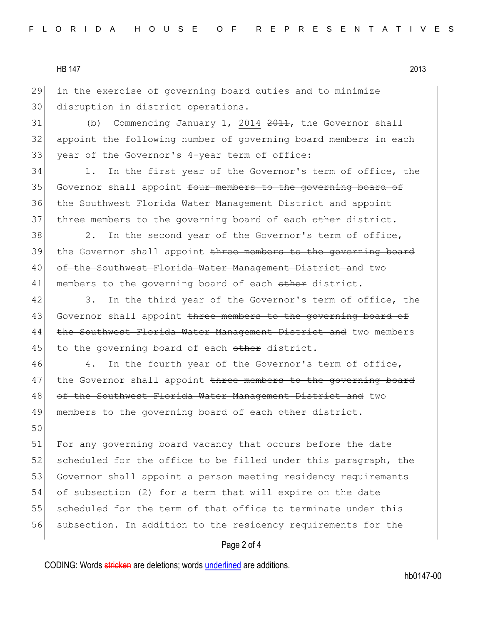#### HB 147 2013

29 in the exercise of governing board duties and to minimize 30 disruption in district operations.

 $31$  (b) Commencing January 1, 2014  $2011$ , the Governor shall 32 appoint the following number of governing board members in each 33 year of the Governor's 4-year term of office:

34 1. In the first year of the Governor's term of office, the 35 Governor shall appoint four members to the governing board of 36 the Southwest Florida Water Management District and appoint 37 three members to the governing board of each other district.

38 2. In the second year of the Governor's term of office, 39 the Governor shall appoint three members to the governing board 40 of the Southwest Florida Water Management District and two 41 members to the governing board of each other district.

42 3. In the third year of the Governor's term of office, the 43 Governor shall appoint three members to the governing board of 44 the Southwest Florida Water Management District and two members 45 to the governing board of each other district.

46 4. In the fourth year of the Governor's term of office, 47 the Governor shall appoint <del>three members to the governing board</del> 48 of the Southwest Florida Water Management District and two 49 members to the governing board of each other district.

50 51 For any governing board vacancy that occurs before the date 52 scheduled for the office to be filled under this paragraph, the 53 Governor shall appoint a person meeting residency requirements 54 of subsection (2) for a term that will expire on the date 55 scheduled for the term of that office to terminate under this 56 subsection. In addition to the residency requirements for the

## Page 2 of 4

CODING: Words stricken are deletions; words underlined are additions.

hb0147-00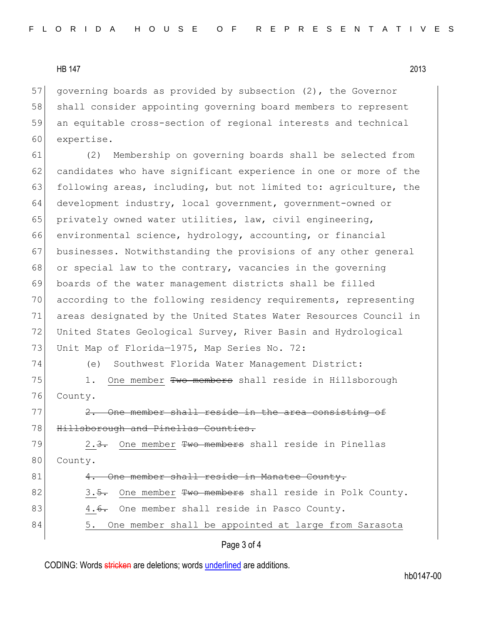### HB 147 2013

57 governing boards as provided by subsection (2), the Governor 58 shall consider appointing governing board members to represent 59 an equitable cross-section of regional interests and technical 60 expertise.

61 (2) Membership on governing boards shall be selected from 62 candidates who have significant experience in one or more of the 63 following areas, including, but not limited to: agriculture, the 64 development industry, local government, government-owned or 65 privately owned water utilities, law, civil engineering, 66 environmental science, hydrology, accounting, or financial 67 businesses. Notwithstanding the provisions of any other general 68 or special law to the contrary, vacancies in the governing 69 boards of the water management districts shall be filled 70 according to the following residency requirements, representing 71 areas designated by the United States Water Resources Council in 72 United States Geological Survey, River Basin and Hydrological 73 Unit Map of Florida-1975, Map Series No. 72: 74 (e) Southwest Florida Water Management District:

75 1. One member Two members shall reside in Hillsborough

76 County.

 $77$   $2.$  One member shall reside in the area consisting of 78 Hillsborough and Pinellas Counties.

79 2.<del>3.</del> One member <del>Two members</del> shall reside in Pinellas 80 County.

# 81 4. One member shall reside in Manatee County.

82 3.5. One member Two members shall reside in Polk County.

- 83 4.<del>6.</del> One member shall reside in Pasco County.
- 84 5. One member shall be appointed at large from Sarasota

## Page 3 of 4

CODING: Words stricken are deletions; words underlined are additions.